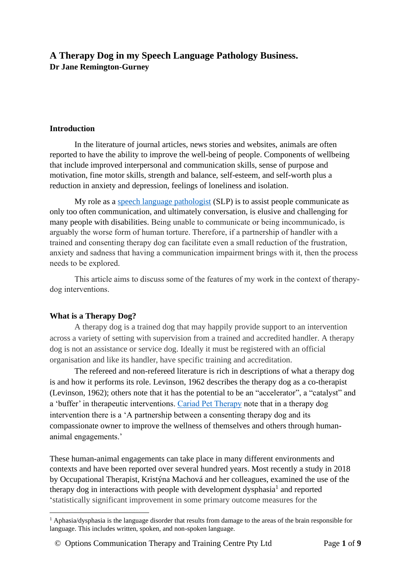# **A Therapy Dog in my Speech Language Pathology Business. Dr Jane Remington-Gurney**

#### **Introduction**

In the literature of journal articles, news stories and websites, animals are often reported to have the ability to improve the well-being of people. Components of wellbeing that include improved interpersonal and communication skills, sense of purpose and motivation, fine motor skills, strength and balance, self-esteem, and self-worth plus a reduction in anxiety and depression, feelings of loneliness and isolation.

My role as a [speech language pathologist](https://speechpathologyaustralia.org.au/) (SLP) is to assist people communicate as only too often communication, and ultimately conversation, is elusive and challenging for many people with disabilities. Being unable to communicate or being incommunicado, is arguably the worse form of human torture. Therefore, if a partnership of handler with a trained and consenting therapy dog can facilitate even a small reduction of the frustration, anxiety and sadness that having a communication impairment brings with it, then the process needs to be explored.

This article aims to discuss some of the features of my work in the context of therapydog interventions.

#### **What is a Therapy Dog?**

A therapy dog is a trained dog that may happily provide support to an intervention across a variety of setting with supervision from a trained and accredited handler. A therapy dog is not an assistance or service dog. Ideally it must be registered with an official organisation and like its handler, have specific training and accreditation.

The refereed and non-refereed literature is rich in descriptions of what a therapy dog is and how it performs its role. Levinson, 1962 describes the therapy dog as a co-therapist (Levinson, 1962); others note that it has the potential to be an "accelerator", a "catalyst" and a 'buffer' in therapeutic interventions. [Cariad Pet Therapy](https://www.cariadpettherapy.co.uk/pettherapy) note that in a therapy dog intervention there is a 'A partnership between a consenting therapy dog and its compassionate owner to improve the wellness of themselves and others through humananimal engagements.'

These human-animal engagements can take place in many different environments and contexts and have been reported over several hundred years. Most recently a study in 2018 by Occupational Therapist, Kristýna Machová and her colleagues, examined the use of the therapy dog in interactions with people with development dysphasia<sup>1</sup> and reported 'statistically significant improvement in some primary outcome measures for the

<sup>&</sup>lt;sup>1</sup> Aphasia/dysphasia is the language disorder that results from damage to the areas of the brain responsible for language. This includes written, spoken, and non-spoken language.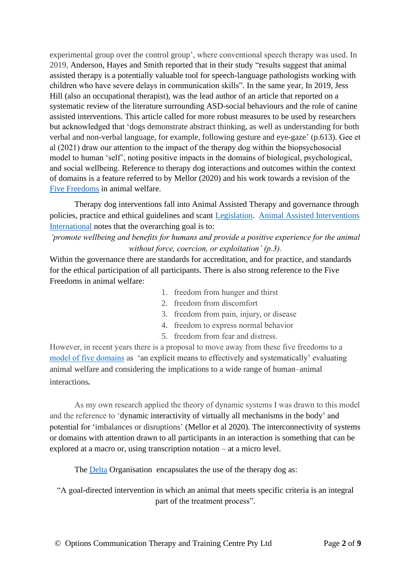experimental group over the control group', where conventional speech therapy was used. In 2019, Anderson, Hayes and Smith reported that in their study "results suggest that animal assisted therapy is a potentially valuable tool for speech-language pathologists working with children who have severe delays in communication skills"*.* In the same year, In 2019, Jess Hill (also an occupational therapist), was the lead author of an article that reported on a systematic review of the literature surrounding ASD-social behaviours and the role of canine assisted interventions. This article called for more robust measures to be used by researchers but acknowledged that 'dogs demonstrate abstract thinking, as well as understanding for both verbal and non-verbal language, for example, following gesture and eye-gaze' (p.613). Gee et al (2021) draw our attention to the impact of the therapy dog within the biopsychosocial model to human 'self', noting positive impacts in the domains of biological, psychological, and social wellbeing. Reference to therapy dog interactions and outcomes within the context of domains is a feature referred to by Mellor (2020) and his work towards a revision of the [Five Freedoms](https://www.animalhumanesociety.org/health/five-freedoms-animals) in animal welfare.

Therapy dog interventions fall into Animal Assisted Therapy and governance through policies, practice and ethical guidelines and scant [Legislation.](https://kb.rspca.org.au/article-categories/animal-welfare-legislation/) [Animal Assisted Interventions](https://aai-int.org/wp-content/uploads/2021/04/AAA-Public-Booklet-Watermark-27-April-2021.pdf)  [International](https://aai-int.org/wp-content/uploads/2021/04/AAA-Public-Booklet-Watermark-27-April-2021.pdf) notes that the overarching goal is to:

*'promote wellbeing and benefits for humans and provide a positive experience for the animal without force, coercion, or exploitation' (p.3).*

Within the governance there are standards for accreditation, and for practice, and standards for the ethical participation of all participants. There is also strong reference to the Five Freedoms in animal welfare:

- 1. freedom from hunger and thirst
- 2. freedom from discomfort
- 3. freedom from pain, injury, or disease
- 4. freedom to express normal behavior
- 5. freedom from fear and distress.

However, in recent years there is a proposal to move away from these five freedoms to a [model of five domains](https://www.ncbi.nlm.nih.gov/pmc/articles/PMC7602120/) as 'an explicit means to effectively and systematically' evaluating animal welfare and considering the implications to a wide range of human–animal interactions.

As my own research applied the theory of dynamic systems I was drawn to this model and the reference to 'dynamic interactivity of virtually all mechanisms in the body' and potential for 'imbalances or disruptions' (Mellor et al 2020). The interconnectivity of systems or domains with attention drawn to all participants in an interaction is something that can be explored at a macro or, using transcription notation – at a micro level.

The [Delta](https://www.deltasociety.com.au/) Organisation encapsulates the use of the therapy dog as:

"A goal-directed intervention in which an animal that meets specific criteria is an integral part of the treatment process".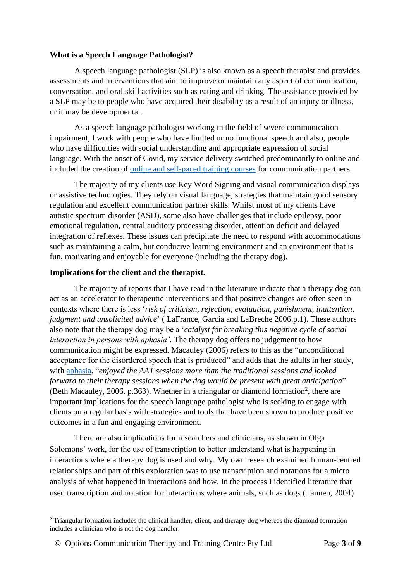#### **What is a Speech Language Pathologist?**

A speech language pathologist (SLP) is also known as a speech therapist and provides assessments and interventions that aim to improve or maintain any aspect of communication, conversation, and oral skill activities such as eating and drinking. The assistance provided by a SLP may be to people who have acquired their disability as a result of an injury or illness, or it may be developmental.

As a speech language pathologist working in the field of severe communication impairment, I work with people who have limited or no functional speech and also, people who have difficulties with social understanding and appropriate expression of social language. With the onset of Covid, my service delivery switched predominantly to online and included the creation of [online and self-paced training courses](https://drjaneremingtongurney.podia.com/) for communication partners.

The majority of my clients use Key Word Signing and visual communication displays or assistive technologies. They rely on visual language, strategies that maintain good sensory regulation and excellent communication partner skills. Whilst most of my clients have autistic spectrum disorder (ASD), some also have challenges that include epilepsy, poor emotional regulation, central auditory processing disorder, attention deficit and delayed integration of reflexes. These issues can precipitate the need to respond with accommodations such as maintaining a calm, but conducive learning environment and an environment that is fun, motivating and enjoyable for everyone (including the therapy dog).

#### **Implications for the client and the therapist.**

The majority of reports that I have read in the literature indicate that a therapy dog can act as an accelerator to therapeutic interventions and that positive changes are often seen in contexts where there is less '*risk of criticism, rejection, evaluation, punishment, inattention, judgment and unsolicited advice*' ( LaFrance, Garcia and LaBreche 2006.p.1). These authors also note that the therapy dog may be a '*catalyst for breaking this negative cycle of social interaction in persons with aphasia'*. The therapy dog offers no judgement to how communication might be expressed. Macauley (2006) refers to this as the "unconditional acceptance for the disordered speech that is produced" and adds that the adults in her study, with [aphasia,](https://aphasia.org.au/about-aphasia/) "*enjoyed the AAT sessions more than the traditional sessions and looked forward to their therapy sessions when the dog would be present with great anticipation*" (Beth Macauley, 2006. p.363). Whether in a triangular or diamond formation<sup>2</sup>, there are important implications for the speech language pathologist who is seeking to engage with clients on a regular basis with strategies and tools that have been shown to produce positive outcomes in a fun and engaging environment.

There are also implications for researchers and clinicians, as shown in Olga Solomons' work, for the use of transcription to better understand what is happening in interactions where a therapy dog is used and why. My own research examined human-centred relationships and part of this exploration was to use transcription and notations for a micro analysis of what happened in interactions and how. In the process I identified literature that used transcription and notation for interactions where animals, such as dogs [\(Tannen, 2004\)](#page-8-0)

<sup>&</sup>lt;sup>2</sup> Triangular formation includes the clinical handler, client, and therapy dog whereas the diamond formation includes a clinician who is not the dog handler.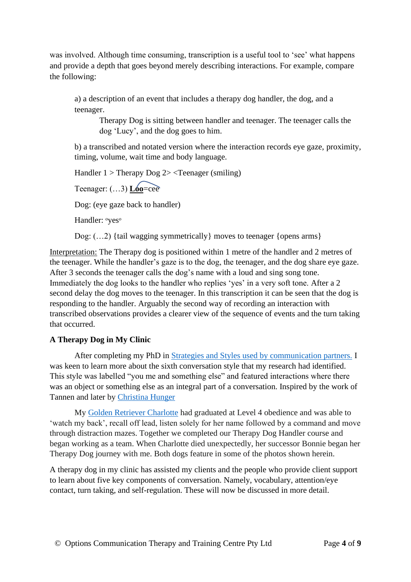was involved. Although time consuming, transcription is a useful tool to 'see' what happens and provide a depth that goes beyond merely describing interactions. For example, compare the following:

a) a description of an event that includes a therapy dog handler, the dog, and a teenager.

Therapy Dog is sitting between handler and teenager. The teenager calls the dog 'Lucy', and the dog goes to him.

b) a transcribed and notated version where the interaction records eye gaze, proximity, timing, volume, wait time and body language.

Handler  $1 >$  Therapy Dog  $2 >$  <Teenager (smiling)

Teenager: (…3) **Loo**=cee

Dog: (eye gaze back to handler)

Handler: <sup>o</sup>yes<sup>o</sup>

Dog:  $(...2)$  {tail wagging symmetrically} moves to teenager {opens arms}

Interpretation: The Therapy dog is positioned within 1 metre of the handler and 2 metres of the teenager. While the handler's gaze is to the dog, the teenager, and the dog share eye gaze. After 3 seconds the teenager calls the dog's name with a loud and sing song tone. Immediately the dog looks to the handler who replies 'yes' in a very soft tone. After a 2 second delay the dog moves to the teenager. In this transcription it can be seen that the dog is responding to the handler. Arguably the second way of recording an interaction with transcribed observations provides a clearer view of the sequence of events and the turn taking that occurred.

## **A Therapy Dog in My Clinic**

After completing my PhD in [Strategies and Styles used by communication partners.](https://drjaneremingtongurney.podia.com/) I was keen to learn more about the sixth conversation style that my research had identified. This style was labelled "you me and something else" and featured interactions where there was an object or something else as an integral part of a conversation. Inspired by the work of Tannen and later by [Christina Hunger](https://www.thecambridgelanguagecollective.com/politics-and-society/christina-hunger-owner-of-the-worlds-first-talking-dog)

My [Golden Retriever Charlotte](https://youtu.be/AI3U7UrN-AE) had graduated at Level 4 obedience and was able to 'watch my back', recall off lead, listen solely for her name followed by a command and move through distraction mazes. Together we completed our Therapy Dog Handler course and began working as a team. When Charlotte died unexpectedly, her successor Bonnie began her Therapy Dog journey with me. Both dogs feature in some of the photos shown herein.

A therapy dog in my clinic has assisted my clients and the people who provide client support to learn about five key components of conversation. Namely, vocabulary, attention/eye contact, turn taking, and self-regulation. These will now be discussed in more detail.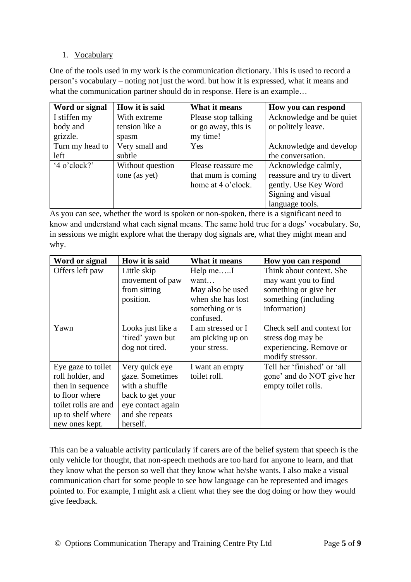### 1. Vocabulary

One of the tools used in my work is the communication dictionary. This is used to record a person's vocabulary – noting not just the word. but how it is expressed, what it means and what the communication partner should do in response. Here is an example...

| Word or signal  | How it is said   | What it means       | How you can respond        |
|-----------------|------------------|---------------------|----------------------------|
| I stiffen my    | With extreme     | Please stop talking | Acknowledge and be quiet   |
| body and        | tension like a   | or go away, this is | or politely leave.         |
| grizzle.        | spasm            | my time!            |                            |
| Turn my head to | Very small and   | Yes                 | Acknowledge and develop    |
| left            | subtle           |                     | the conversation.          |
| $4$ o'clock?'   | Without question | Please reassure me  | Acknowledge calmly,        |
|                 | tone (as yet)    | that mum is coming  | reassure and try to divert |
|                 |                  | home at 4 o'clock.  | gently. Use Key Word       |
|                 |                  |                     | Signing and visual         |
|                 |                  |                     | language tools.            |

As you can see, whether the word is spoken or non-spoken, there is a significant need to know and understand what each signal means. The same hold true for a dogs' vocabulary. So, in sessions we might explore what the therapy dog signals are, what they might mean and why.

| Word or signal       | How it is said    | What it means      | How you can respond         |
|----------------------|-------------------|--------------------|-----------------------------|
| Offers left paw      | Little skip       | Help meI           | Think about context. She    |
|                      | movement of paw   | want               | may want you to find        |
|                      | from sitting      | May also be used   | something or give her       |
|                      | position.         | when she has lost  | something (including        |
|                      |                   | something or is    | information)                |
|                      |                   | confused.          |                             |
| Yawn                 | Looks just like a | I am stressed or I | Check self and context for  |
|                      | 'tired' yawn but  | am picking up on   | stress dog may be           |
|                      | dog not tired.    | your stress.       | experiencing. Remove or     |
|                      |                   |                    | modify stressor.            |
| Eye gaze to toilet   | Very quick eye    | I want an empty    | Tell her 'finished' or 'all |
| roll holder, and     | gaze. Sometimes   | toilet roll.       | gone' and do NOT give her   |
| then in sequence     | with a shuffle    |                    | empty toilet rolls.         |
| to floor where       | back to get your  |                    |                             |
| toilet rolls are and | eye contact again |                    |                             |
| up to shelf where    | and she repeats   |                    |                             |
| new ones kept.       | herself.          |                    |                             |

This can be a valuable activity particularly if carers are of the belief system that speech is the only vehicle for thought, that non-speech methods are too hard for anyone to learn, and that they know what the person so well that they know what he/she wants. I also make a visual communication chart for some people to see how language can be represented and images pointed to. For example, I might ask a client what they see the dog doing or how they would give feedback.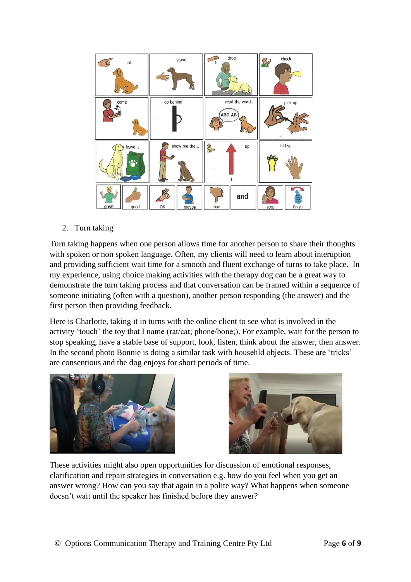

### 2. Turn taking

Turn taking happens when one person allows time for another person to share their thoughts with spoken or non spoken language. Often, my clients will need to learn about interuption and providing sufficient wait time for a smooth and fluent exchange of turns to take place. In my experience, using choice making activities with the therapy dog can be a great way to demonstrate the turn taking process and that conversation can be framed within a sequence of someone initiating (often with a question), another person responding (the answer) and the first person then providing feedback.

Here is Charlotte, taking it in turns with the online client to see what is involved in the activity 'touch' the toy that I name (rat/cat; phone/bone;). For example, wait for the person to stop speaking, have a stable base of support, look, listen, think about the answer, then answer. In the second photo Bonnie is doing a similar task with househld objects. These are 'tricks' are consentious and the dog enjoys for short periods of time.





These activities might also open opportunities for discussion of emotional responses, clarification and repair strategies in conversation e.g. how do you feel when you get an answer wrong? How can you say that again in a polite way? What happens when someone doesn't wait until the speaker has finished before they answer?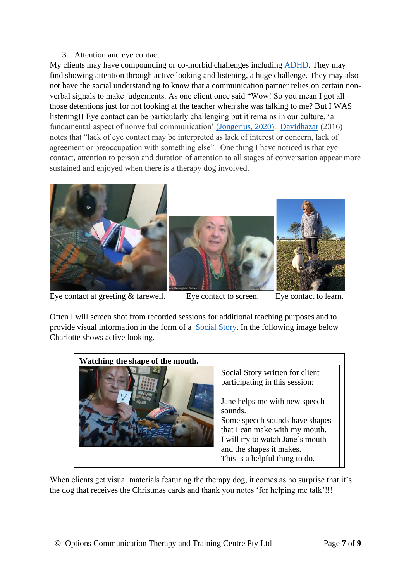### 3. Attention and eye contact

My clients may have compounding or co-morbid challenges including [ADHD.](https://www.adhdaustralia.org.au/about-adhd/what-is-attention-deficit-hyperactivity-disorder-adhd/) They may find showing attention through active looking and listening, a huge challenge. They may also not have the social understanding to know that a communication partner relies on certain nonverbal signals to make judgements. As one client once said "Wow! So you mean I got all those detentions just for not looking at the teacher when she was talking to me? But I WAS listening!! Eye contact can be particularly challenging but it remains in our culture, 'a fundamental aspect of nonverbal communication' [\(Jongerius, 2020\).](https://www.researchgate.net/publication/340791385_The_Measurement_of_Eye_Contact_in_Human_Interactions_A_Scoping_Review) [Davidhazar](https://www.cambridge.org/core/journals/infection-control-and-hospital-epidemiology/article/abs/interpersonal-communication-a-review-of-eye-contact/0A5931C4FF6DD7A2C1F92EFF875CAEEE) (2016) notes that "lack of eye contact may be interpreted as lack of interest or concern, lack of agreement or preoccupation with something else". One thing I have noticed is that eye contact, attention to person and duration of attention to all stages of conversation appear more sustained and enjoyed when there is a therapy dog involved.



Eye contact at greeting & farewell. Eye contact to screen. Eye contact to learn.

Often I will screen shot from recorded sessions for additional teaching purposes and to provide visual information in the form of a [Social Story.](https://carolgraysocialstories.com/) In the following image below Charlotte shows active looking.

| Watching the shape of the mouth. |                                                                                                                                                                                                                                                                                     |  |  |  |
|----------------------------------|-------------------------------------------------------------------------------------------------------------------------------------------------------------------------------------------------------------------------------------------------------------------------------------|--|--|--|
|                                  | Social Story written for client<br>participating in this session:<br>Jane helps me with new speech<br>sounds.<br>Some speech sounds have shapes<br>that I can make with my mouth.<br>I will try to watch Jane's mouth<br>and the shapes it makes.<br>This is a helpful thing to do. |  |  |  |

When clients get visual materials featuring the therapy dog, it comes as no surprise that it's the dog that receives the Christmas cards and thank you notes 'for helping me talk'!!!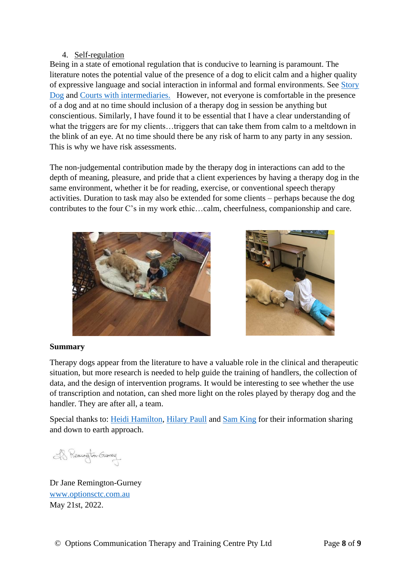### 4. Self-regulation

Being in a state of emotional regulation that is conducive to learning is paramount. The literature notes the potential value of the presence of a dog to elicit calm and a higher quality of expressive language and social interaction in informal and formal environments. See [Story](https://www.storydogs.org.au/)  [Dog](https://www.storydogs.org.au/) and [Courts with intermediaries.](https://www.researchgate.net/publication/330026268_The_use_of_dogs_in_the_courtroom) However, not everyone is comfortable in the presence of a dog and at no time should inclusion of a therapy dog in session be anything but conscientious. Similarly, I have found it to be essential that I have a clear understanding of what the triggers are for my clients...triggers that can take them from calm to a meltdown in the blink of an eye. At no time should there be any risk of harm to any party in any session. This is why we have risk assessments.

The non-judgemental contribution made by the therapy dog in interactions can add to the depth of meaning, pleasure, and pride that a client experiences by having a therapy dog in the same environment, whether it be for reading, exercise, or conventional speech therapy activities. Duration to task may also be extended for some clients – perhaps because the dog contributes to the four C's in my work ethic…calm, cheerfulness, companionship and care.





### **Summary**

Therapy dogs appear from the literature to have a valuable role in the clinical and therapeutic situation, but more research is needed to help guide the training of handlers, the collection of data, and the design of intervention programs. It would be interesting to see whether the use of transcription and notation, can shed more light on the roles played by therapy dog and the handler. They are after all, a team.

Special thanks to: [Heidi Hamilton,](https://www.dogmanshiptraining.com/) [Hilary Paull](http://k9potential.com.au/) and [Sam King](https://therapydog.com.au/) for their information sharing and down to earth approach.

IS Reminator-Guerrey

Dr Jane Remington-Gurney [www.optionsctc.com.au](http://www.optionsctc.com.au/)  May 21st, 2022.